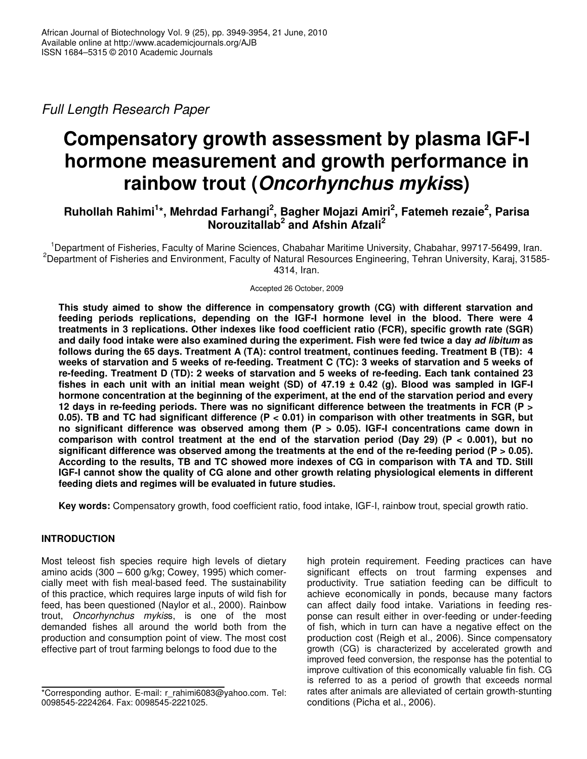*Full Length Research Paper*

# **Compensatory growth assessment by plasma IGF-I hormone measurement and growth performance in rainbow trout (***Oncorhynchus mykis***s)**

# **Ruhollah Rahimi 1 \*, Mehrdad Farhangi 2 , Bagher Mojazi Amiri 2 , Fatemeh rezaie 2 , Parisa Norouzitallab 2 and Afshin Afzali 2**

<sup>1</sup>Department of Fisheries, Faculty of Marine Sciences, Chabahar Maritime University, Chabahar, 99717-56499, Iran. <sup>2</sup>Department of Fisheries and Environment, Faculty of Natural Resources Engineering, Tehran University, Karaj, 31585-4314, Iran.

Accepted 26 October, 2009

**This study aimed to show the difference in compensatory growth (CG) with different starvation and feeding periods replications, depending on the IGF-I hormone level in the blood. There were 4 treatments in 3 replications. Other indexes like food coefficient ratio (FCR), specific growth rate (SGR)** and daily food intake were also examined during the experiment. Fish were fed twice a day ad libitum as **follows during the 65 days. Treatment A (TA): control treatment, continues feeding. Treatment B (TB): 4** weeks of starvation and 5 weeks of re-feeding. Treatment C (TC): 3 weeks of starvation and 5 weeks of **re-feeding. Treatment D (TD): 2 weeks of starvation and 5 weeks of re-feeding. Each tank contained 23** fishes in each unit with an initial mean weight (SD) of  $47.19 \pm 0.42$  (g). Blood was sampled in IGF-I **hormone concentration at the beginning of the experiment, at the end of the starvation period and every 12 days in re-feeding periods. There was no significant difference between the treatments in FCR (P >** 0.05). TB and TC had significant difference ( $P < 0.01$ ) in comparison with other treatments in SGR, but **no significant difference was observed among them (P > 0.05). IGF-I concentrations came down in comparison with control treatment at the end of the starvation period (Day 29) (P < 0.001), but no significant difference was observed among the treatments at the end of the re-feeding period (P > 0.05).** According to the results, TB and TC showed more indexes of CG in comparison with TA and TD. Still **IGF-I cannot show the quality of CG alone and other growth relating physiological elements in different feeding diets and regimes will be evaluated in future studies.**

**Key words:** Compensatory growth, food coefficient ratio, food intake, IGF-I, rainbow trout, special growth ratio.

## **INTRODUCTION**

Most teleost fish species require high levels of dietary amino acids (300 – 600 g/kg; Cowey, 1995) which comercially meet with fish meal-based feed. The sustainability of this practice, which requires large inputs of wild fish for feed, has been questioned (Naylor et al., 2000). Rainbow trout, *Oncorhynchus mykis*s, is one of the most demanded fishes all around the world both from the production and consumption point of view. The most cost effective part of trout farming belongs to food due to the

high protein requirement. Feeding practices can have significant effects on trout farming expenses and productivity. True satiation feeding can be difficult to achieve economically in ponds, because many factors can affect daily food intake. Variations in feeding response can result either in over-feeding or under-feeding of fish, which in turn can have a negative effect on the production cost (Reigh et al*.*, 2006). Since compensatory growth (CG) is characterized by accelerated growth and improved feed conversion, the response has the potential to improve cultivation of this economically valuable fin fish. CG is referred to as a period of growth that exceeds normal rates after animals are alleviated of certain growth-stunting conditions (Picha et al., 2006).

<sup>\*</sup>Corresponding author. E-mail: r\_rahimi6083@yahoo.com. Tel: 0098545-2224264. Fax: 0098545-2221025.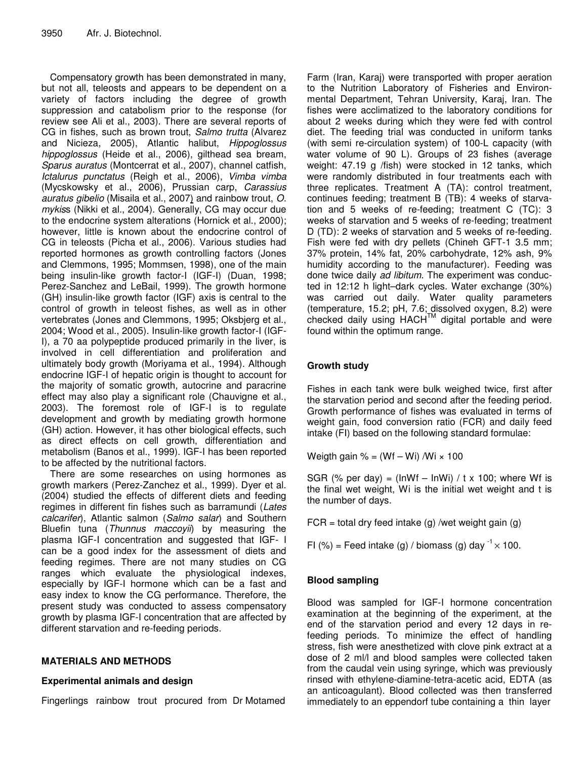Compensatory growth has been demonstrated in many, but not all, teleosts and appears to be dependent on a variety of factors including the degree of growth suppression and catabolism prior to the response (for review see Ali et al., 2003). There are several reports of CG in fishes, such as brown trout, *Salmo trutta* (Alvarez and Nicieza, 2005), Atlantic halibut, *Hippoglossus hippoglossus* (Heide et al., 2006), gilthead sea bream, *Sparus auratus* (Montcerrat et al., 2007), channel catfish, *Ictalurus punctatus* (Reigh et al., 2006), *Vimba vimba* (Mycskowsky et al., 2006), Prussian carp, *Carassius auratus gibelio* (Misaila et al., 2007) and rainbow trout, *O. mykis*s (Nikki et al*.*, 2004). Generally, CG may occur due to the endocrine system alterations (Hornick et al., 2000); however, little is known about the endocrine control of CG in teleosts (Picha et al., 2006). Various studies had reported hormones as growth controlling factors (Jones and Clemmons, 1995; Mommsen, 1998), one of the main being insulin-like growth factor-I (IGF-I) (Duan, 1998; Perez-Sanchez and LeBail, 1999). The growth hormone (GH) insulin-like growth factor (IGF) axis is central to the control of growth in teleost fishes, as well as in other vertebrates (Jones and Clemmons, 1995; Oksbjerg et al., 2004; Wood et al., 2005). Insulin-like growth factor-I (IGF-I), a 70 aa polypeptide produced primarily in the liver, is involved in cell differentiation and proliferation and ultimately body growth (Moriyama et al., 1994). Although endocrine IGF-I of hepatic origin is thought to account for the majority of somatic growth, autocrine and paracrine effect may also play a significant role (Chauvigne et al., 2003). The foremost role of IGF-I is to regulate development and growth by mediating growth hormone (GH) action. However, it has other biological effects, such as direct effects on cell growth, differentiation and metabolism (Banos et al., 1999). IGF-I has been reported to be affected by the nutritional factors.

There are some researches on using hormones as growth markers (Perez-Zanchez et al., 1999). Dyer et al. (2004) studied the effects of different diets and feeding regimes in different fin fishes such as barramundi (*Lates calcarifer*), Atlantic salmon (*Salmo salar*) and Southern Bluefin tuna (*Thunnus maccoyii*) by measuring the plasma IGF-I concentration and suggested that IGF- I can be a good index for the assessment of diets and feeding regimes. There are not many studies on CG ranges which evaluate the physiological indexes, especially by IGF-I hormone which can be a fast and easy index to know the CG performance. Therefore, the present study was conducted to assess compensatory growth by plasma IGF-I concentration that are affected by different starvation and re-feeding periods.

## **MATERIALS AND METHODS**

## **Experimental animals and design**

Fingerlings rainbow trout procured from Dr Motamed

Farm (Iran, Karaj) were transported with proper aeration to the Nutrition Laboratory of Fisheries and Environmental Department, Tehran University, Karaj, Iran. The fishes were acclimatized to the laboratory conditions for about 2 weeks during which they were fed with control diet. The feeding trial was conducted in uniform tanks (with semi re-circulation system) of 100-L capacity (with water volume of 90 L). Groups of 23 fishes (average weight: 47.19 g /fish) were stocked in 12 tanks, which were randomly distributed in four treatments each with three replicates. Treatment A (TA): control treatment, continues feeding; treatment B (TB): 4 weeks of starvation and 5 weeks of re-feeding; treatment C (TC): 3 weeks of starvation and 5 weeks of re-feeding; treatment D (TD): 2 weeks of starvation and 5 weeks of re-feeding. Fish were fed with dry pellets (Chineh GFT-1 3.5 mm; 37% protein, 14% fat, 20% carbohydrate, 12% ash, 9% humidity according to the manufacturer). Feeding was done twice daily *ad libitum*. The experiment was conducted in 12:12 h light–dark cycles. Water exchange (30%) was carried out daily. Water quality parameters (temperature, 15.2; pH, 7.6; dissolved oxygen, 8.2) were checked daily using HACH™ digital portable and were found within the optimum range.

# **Growth study**

Fishes in each tank were bulk weighed twice, first after the starvation period and second after the feeding period. Growth performance of fishes was evaluated in terms of weight gain, food conversion ratio (FCR) and daily feed intake (FI) based on the following standard formulae:

Weigth gain  $% = (Wf - Wi) /Wi \times 100$ 

SGR (% per day) = (lnWf – lnWi) / t x 100; where Wf is the final wet weight, Wi is the initial wet weight and t is the number of days.

 $FCR = total$  dry feed intake (g) /wet weight gain (g)

FI (%) = Feed intake (g) / biomass (g) day  $1 \times 100$ .

## **Blood sampling**

Blood was sampled for IGF-I hormone concentration examination at the beginning of the experiment, at the end of the starvation period and every 12 days in refeeding periods. To minimize the effect of handling stress, fish were anesthetized with clove pink extract at a dose of 2 ml/l and blood samples were collected taken from the caudal vein using syringe, which was previously rinsed with ethylene-diamine-tetra-acetic acid, EDTA (as an anticoagulant). Blood collected was then transferred immediately to an eppendorf tube containing a thin layer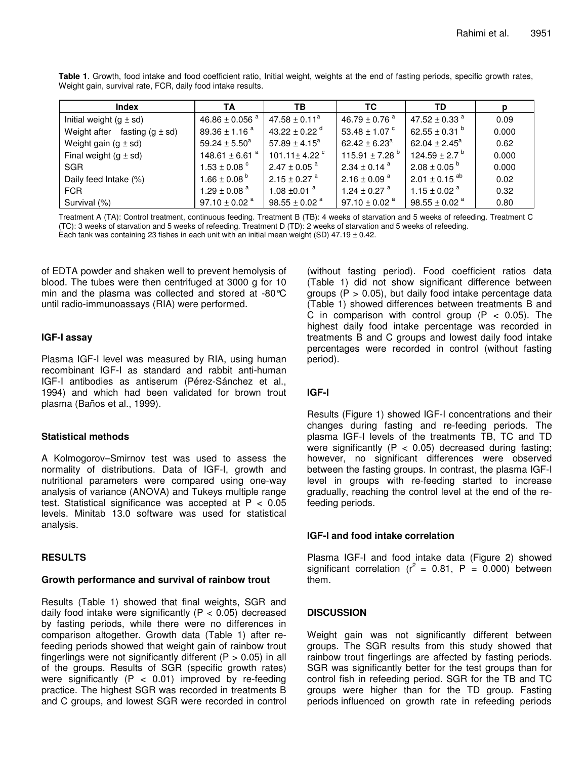| Index                             | TA                           | ΤВ                            | ТC                            | TD                            |       |
|-----------------------------------|------------------------------|-------------------------------|-------------------------------|-------------------------------|-------|
| Initial weight $(g \pm sd)$       | 46.86 $\pm$ 0.056 $^{a}$     | $47.58 \pm 0.11^a$            | 46.79 $\pm$ 0.76 <sup>a</sup> | 47.52 ± 0.33 <sup>a</sup>     | 0.09  |
| Weight after fasting $(g \pm sd)$ | $89.36 \pm 1.16^{\text{ a}}$ | 43.22 ± 0.22 $^{\circ}$       | 53.48 $\pm$ 1.07 $\degree$    | 62.55 ± 0.31 $^{\rm b}$       | 0.000 |
| Weight gain $(g \pm sd)$          | $59.24 \pm 5.50^a$           | $57.89 \pm 4.15^a$            | $62.42 \pm 6.23$ <sup>a</sup> | 62.04 ± 2.45 <sup>a</sup>     | 0.62  |
| Final weight $(g \pm sd)$         | 148.61 $\pm$ 6.61 $^{\circ}$ | 101.11 ± 4.22 $^{\circ}$      | 115.91 ± 7.28 <sup>b</sup>    | 124.59 ± 2.7 $^{\circ}$       | 0.000 |
| <b>SGR</b>                        | 1.53 $\pm$ 0.08 $^{\circ}$   | $2.47 \pm 0.05$ <sup>a</sup>  | $2.34 \pm 0.14$ <sup>a</sup>  | $2.08 \pm 0.05^{b}$           | 0.000 |
| Daily feed Intake (%)             | $1.66 \pm 0.08^{\text{b}}$   | $2.15 \pm 0.27$ <sup>a</sup>  | $2.16 \pm 0.09$ <sup>a</sup>  | $2.01 \pm 0.15$ <sup>ab</sup> | 0.02  |
| FCR.                              | 1.29 ± 0.08 $^{a}$           | 1.08 $\pm$ 0.01 <sup>a</sup>  | 1.24 ± 0.27 $^{\circ}$        | 1.15 ± 0.02 $^{\circ}$        | 0.32  |
| Survival (%)                      | 97.10 $\pm$ 0.02 $^{\rm a}$  | $98.55 \pm 0.02$ <sup>a</sup> | 97.10 $\pm$ 0.02 $^{\circ}$   | $98.55 \pm 0.02$ <sup>a</sup> | 0.80  |

**Table 1**. Growth, food intake and food coefficient ratio, Initial weight, weights at the end of fasting periods, specific growth rates, Weight gain, survival rate, FCR, daily food intake results.

Treatment A (TA): Control treatment, continuous feeding. Treatment B (TB): 4 weeks of starvation and 5 weeks of refeeding. Treatment C (TC): 3 weeks of starvation and 5 weeks of refeeding. Treatment D (TD): 2 weeks of starvation and 5 weeks of refeeding. Each tank was containing 23 fishes in each unit with an initial mean weight (SD)  $47.19 \pm 0.42$ .

of EDTA powder and shaken well to prevent hemolysis of blood. The tubes were then centrifuged at 3000 g for 10 min and the plasma was collected and stored at -80°C until radio-immunoassays (RIA) were performed.

#### **IGF-I assay**

Plasma IGF-I level was measured by RIA, using human recombinant IGF-I as standard and rabbit anti-human IGF-I antibodies as antiserum (Pérez-Sánchez et al., 1994) and which had been validated for brown trout plasma (Baños et al., 1999).

## **Statistical methods**

A Kolmogorov–Smirnov test was used to assess the normality of distributions. Data of IGF-I, growth and nutritional parameters were compared using one-way analysis of variance (ANOVA) and Tukeys multiple range test. Statistical significance was accepted at  $P < 0.05$ levels. Minitab 13.0 software was used for statistical analysis.

## **RESULTS**

#### **Growth performance and survival of rainbow trout**

Results (Table 1) showed that final weights, SGR and daily food intake were significantly ( $P < 0.05$ ) decreased by fasting periods, while there were no differences in comparison altogether. Growth data (Table 1) after refeeding periods showed that weight gain of rainbow trout fingerlings were not significantly different ( $P > 0.05$ ) in all of the groups. Results of SGR (specific growth rates) were significantly  $(P < 0.01)$  improved by re-feeding practice. The highest SGR was recorded in treatments B and C groups, and lowest SGR were recorded in control

(without fasting period). Food coefficient ratios data (Table 1) did not show significant difference between groups  $(P > 0.05)$ , but daily food intake percentage data (Table 1) showed differences between treatments B and C in comparison with control group  $(P < 0.05)$ . The highest daily food intake percentage was recorded in treatments B and C groups and lowest daily food intake percentages were recorded in control (without fasting period).

## **IGF-I**

Results (Figure 1) showed IGF-I concentrations and their changes during fasting and re-feeding periods. The plasma IGF-I levels of the treatments TB, TC and TD were significantly  $(P < 0.05)$  decreased during fasting; however, no significant differences were observed between the fasting groups. In contrast, the plasma IGF-I level in groups with re-feeding started to increase gradually, reaching the control level at the end of the refeeding periods.

## **IGF-I and food intake correlation**

Plasma IGF-I and food intake data (Figure 2) showed significant correlation ( $r^2 = 0.81$ , P = 0.000) between them.

## **DISCUSSION**

Weight gain was not significantly different between groups. The SGR results from this study showed that rainbow trout fingerlings are affected by fasting periods. SGR was significantly better for the test groups than for control fish in refeeding period. SGR for the TB and TC groups were higher than for the TD group. Fasting periods influenced on growth rate in refeeding periods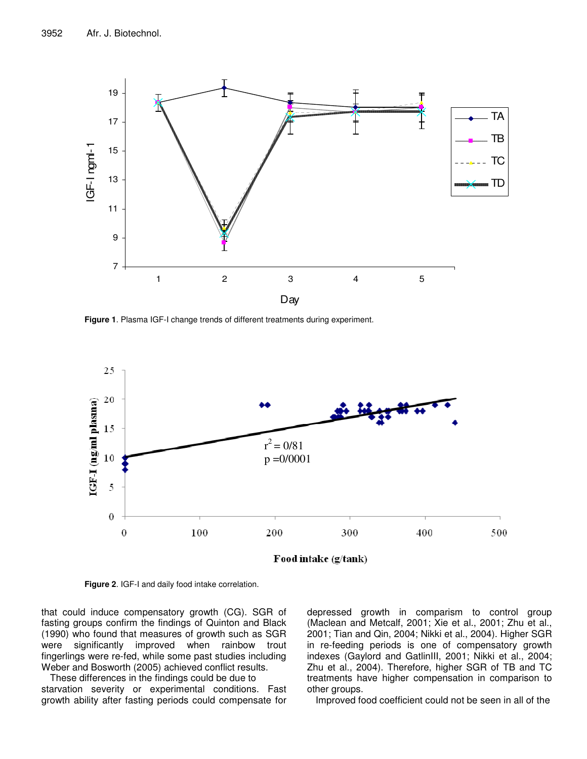

**Figure 1**. Plasma IGF-I change trends of different treatments during experiment.



**Figure 2**. IGF-I and daily food intake correlation.

that could induce compensatory growth (CG). SGR of fasting groups confirm the findings of Quinton and Black (1990) who found that measures of growth such as SGR were significantly improved when rainbow trout fingerlings were re-fed, while some past studies including Weber and Bosworth (2005) achieved conflict results.

These differences in the findings could be due to starvation severity or experimental conditions. Fast growth ability after fasting periods could compensate for depressed growth in comparism to control group (Maclean and Metcalf, 2001; Xie et al., 2001; Zhu et al., 2001; Tian and Qin, 2004; Nikki et al., 2004). Higher SGR in re-feeding periods is one of compensatory growth indexes (Gaylord and GatlinIII, 2001; Nikki et al., 2004; Zhu et al., 2004). Therefore, higher SGR of TB and TC treatments have higher compensation in comparison to other groups.

Improved food coefficient could not be seen in all of the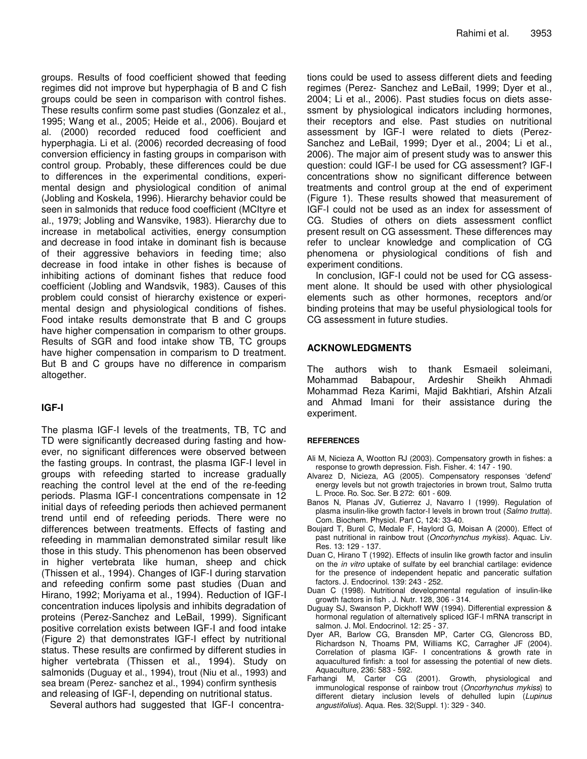groups. Results of food coefficient showed that feeding regimes did not improve but hyperphagia of B and C fish groups could be seen in comparison with control fishes. These results confirm some past studies (Gonzalez et al., 1995; Wang et al., 2005; Heide et al., 2006). Boujard et al. (2000) recorded reduced food coefficient and hyperphagia. Li et al. (2006) recorded decreasing of food conversion efficiency in fasting groups in comparison with control group. Probably, these differences could be due to differences in the experimental conditions, experimental design and physiological condition of animal (Jobling and Koskela, 1996). Hierarchy behavior could be seen in salmonids that reduce food coefficient (MCItyre et al., 1979; Jobling and Wansvike, 1983). Hierarchy due to increase in metabolical activities, energy consumption and decrease in food intake in dominant fish is because of their aggressive behaviors in feeding time; also decrease in food intake in other fishes is because of inhibiting actions of dominant fishes that reduce food coefficient (Jobling and Wandsvik, 1983). Causes of this problem could consist of hierarchy existence or experimental design and physiological conditions of fishes. Food intake results demonstrate that B and C groups have higher compensation in comparism to other groups. Results of SGR and food intake show TB, TC groups have higher compensation in comparism to D treatment. But B and C groups have no difference in comparism altogether.

## **IGF-I**

The plasma IGF-I levels of the treatments, TB, TC and TD were significantly decreased during fasting and however, no significant differences were observed between the fasting groups. In contrast, the plasma IGF-I level in groups with refeeding started to increase gradually reaching the control level at the end of the re-feeding periods. Plasma IGF-I concentrations compensate in 12 initial days of refeeding periods then achieved permanent trend until end of refeeding periods. There were no differences between treatments. Effects of fasting and refeeding in mammalian demonstrated similar result like those in this study. This phenomenon has been observed in higher vertebrata like human, sheep and chick (Thissen et al., 1994). Changes of IGF-I during starvation and refeeding confirm some past studies (Duan and Hirano, 1992; Moriyama et al., 1994). Reduction of IGF-I concentration induces lipolysis and inhibits degradation of proteins (Perez-Sanchez and LeBail, 1999). Significant positive correlation exists between IGF-I and food intake (Figure 2) that demonstrates IGF-I effect by nutritional status. These results are confirmed by different studies in higher vertebrata (Thissen et al., 1994). Study on salmonids (Duguay et al., 1994), trout (Niu et al., 1993) and sea bream (Perez- sanchez et al., 1994) confirm synthesis and releasing of IGF-I, depending on nutritional status.

Several authors had suggested that IGF-I concentra-

tions could be used to assess different diets and feeding regimes (Perez- Sanchez and LeBail, 1999; Dyer et al., 2004; Li et al., 2006). Past studies focus on diets assessment by physiological indicators including hormones, their receptors and else. Past studies on nutritional assessment by IGF-I were related to diets (Perez-Sanchez and LeBail, 1999; Dyer et al., 2004; Li et al., 2006). The major aim of present study was to answer this question: could IGF-I be used for CG assessment? IGF-I concentrations show no significant difference between treatments and control group at the end of experiment (Figure 1). These results showed that measurement of IGF-I could not be used as an index for assessment of CG. Studies of others on diets assessment conflict present result on CG assessment. These differences may refer to unclear knowledge and complication of CG phenomena or physiological conditions of fish and experiment conditions.

In conclusion, IGF-I could not be used for CG assessment alone. It should be used with other physiological elements such as other hormones, receptors and/or binding proteins that may be useful physiological tools for CG assessment in future studies.

#### **ACKNOWLEDGMENTS**

The authors wish to thank Esmaeil soleimani, Mohammad Babapour, Ardeshir Sheikh Ahmadi Mohammad Reza Karimi, Majid Bakhtiari, Afshin Afzali and Ahmad Imani for their assistance during the experiment.

#### **REFERENCES**

- Ali M, Nicieza A, Wootton RJ (2003). Compensatory growth in fishes: a response to growth depression. Fish. Fisher. 4: 147 - 190.
- Alvarez D, Nicieza, AG (2005). Compensatory responses 'defend' energy levels but not growth trajectories in brown trout, Salmo trutta L. Proce. Ro. Soc. Ser. B 272: 601 - 609.
- Banos N, Planas JV, Gutierrez J, Navarro I (1999). Regulation of plasma insulin-like growth factor-I levels in brown trout (*Salmo trutta*). Com. Biochem. Physiol. Part C, 124: 33-40.
- Boujard T, Burel C, Medale F, Haylord G, Moisan A (2000). Effect of past nutritional in rainbow trout (*Oncorhynchus mykiss*). Aquac. Liv. Res. 13: 129 - 137.
- Duan C, Hirano T (1992). Effects of insulin like growth factor and insulin on the *in vitro* uptake of sulfate by eel branchial cartilage: evidence for the presence of independent hepatic and panceratic sulfation factors. J. Endocrinol. 139: 243 - 252.
- Duan C (1998). Nutritional developmental regulation of insulin-like growth factors in fish . J. Nutr. 128, 306 - 314.
- Duguay SJ, Swanson P, Dickhoff WW (1994). Differential expression & hormonal regulation of alternatively spliced IGF-I mRNA transcript in salmon. J. Mol. Endocrinol. 12: 25 - 37.
- Dyer AR, Barlow CG, Bransden MP, Carter CG, Glencross BD, Richardson N, Thoams PM, Williams KC, Carragher JF (2004). Correlation of plasma IGF- I concentrations & growth rate in aquacultured finfish: a tool for assessing the potential of new diets. Aquaculture, 236: 583 - 592.
- Farhangi M, Carter CG (2001). Growth, physiological and immunological response of rainbow trout (*Oncorhynchus mykiss*) to different dietary inclusion levels of dehulled lupin (*Lupinus angustifolius*). Aqua. Res. 32(Suppl. 1): 329 - 340.